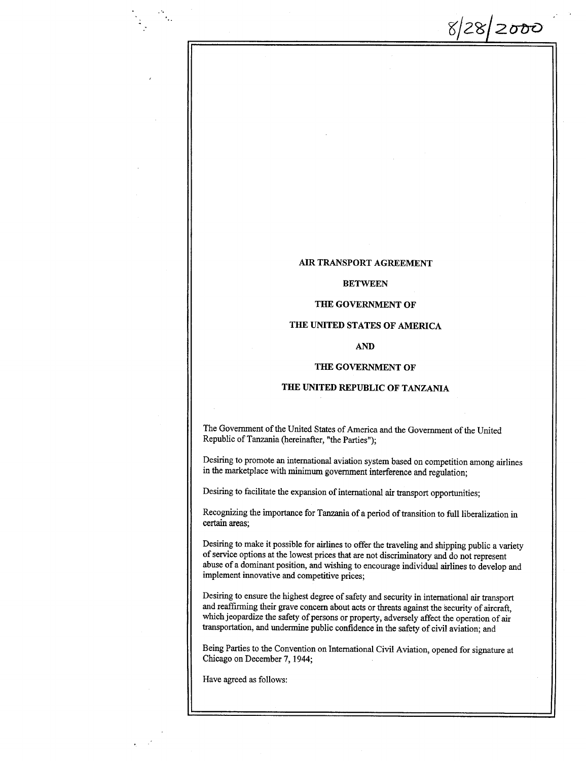$8/28$  2000 at-o

# AIR TRANSPORT AGREEMENT

#### BETWEEN

## THE GOVERNMENT OF

# THE UNITED STATES OF AMERICA

## AND

# THE GOVERNMENT OF

# THE UNITED REPUBLIC OF TANZANIA

The Government of the United States of America and the Government of the United Republic of Tanzania (hereinafter, "the Parties");

Desiring to promote an international aviation system based on competition among airlines in the marketplace with minimum government interference and regulation;

Desiring to facilitate the expansion of international air transport opportunities;

Recognizing the importance for Tanzania of a period of transition to full liberalization in certain areas;

Desiring to make it possible for airlines to offer the traveling and shipping public a variety of service options at the lowest prices that are not discriminatory and do not represent abuse of a dominant position, and wishing to encourage individual airlines to develop and implement innovative and competitive prices ;

Desiring to ensure the highest degree of safety and security in international air transport and reaffirming their grave concern about acts or threats against the security of aircraft, which jeopardize the safety of persons or property, adversely affect the operation of air transportation, and undermine public confidence in the safety of civil aviation; and

Being Parties to the Convention on International Civil Aviation, opened for signature at Chicago on December 7, 1944 ;

Have agreed as follows: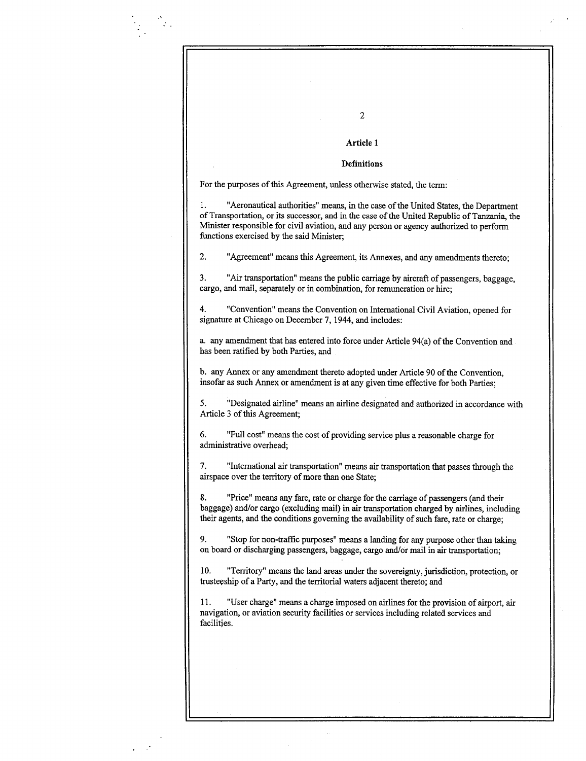# Article 1

# **Definitions**

For the purposes of this Agreement, unless otherwise stated, the term :

 $\frac{1}{4}$  .

1 . "Aeronautical authorities" means, in the case of the United States, the Department of Transportation, or its successor, and in the case of the United Republic of Tanzania, the Minister responsible for civil aviation, and any person or agency authorized to perform functions exercised by the said Minister;

2 . "Agreement" means this Agreement, its Annexes, and any amendments thereto ;

3 . "Air transportation" means the public carriage by aircraft of passengers, baggage, cargo, and mail, separately or in combination, for remuneration or hire;

4 . "Convention" means the Convention on International Civil Aviation, opened for signature at Chicago on December 7, 1944, and includes:

a. any amendment that has entered into force under Article 94(a) of the Convention and has been ratified by both Parties, and

b. any Annex or any amendment thereto adopted under Article 90 of the Convention, insofar as such Annex or amendment is at any given time effective for both Parties;

5 . "Designated airline" means an airline designated and authorized in accordance with Article 3 of this Agreement;

6 . "Full cost" means the cost of providing service plus a reasonable charge for administrative overhead;

7 . "International air transportation" means air transportation that passes through the airspace over the territory of more than one State;

8 . "Price" means any fare, rate or charge for the carriage of passengers (and their baggage) and/or cargo (excluding mail) in air transportation charged by airlines, including their agents, and the conditions governing the availability of such fare, rate or charge;

9 . "Stop for non-traffic purposes" means a landing for any purpose other than taking on board or discharging passengers, baggage, cargo and/or mail in air transportation;

10 . "Territory" means the land areas under the sovereignty, jurisdiction, protection, or trusteeship of a Party, and the territorial waters adjacent thereto; and

11 . "User charge" means a charge imposed on airlines for the provision of airport, air navigation, or aviation security facilities or services including related services and facilities.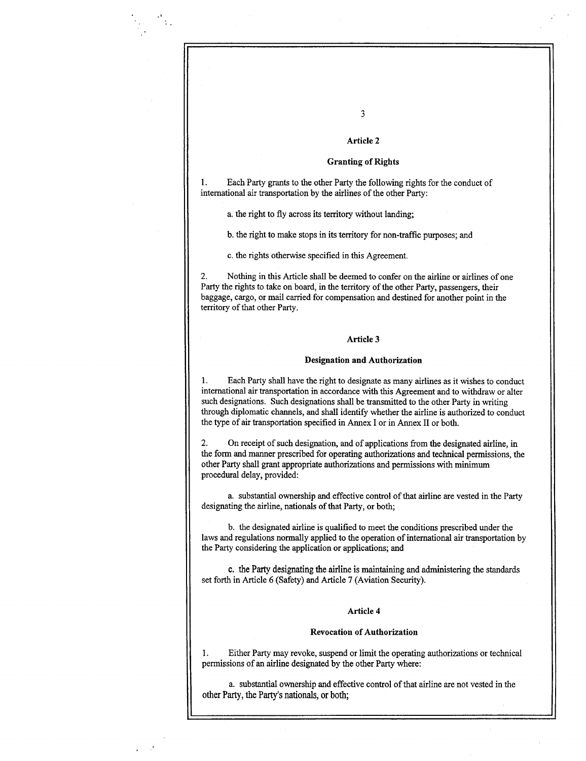### Article 2

# Granting of Rights

1 . Each Party grants to the other Party the following rights for the conduct of international air transportation by the airlines of the other Party :

a. the right to fly across its territory without landing;

b. the right to make stops in its territory for non-traffic purposes ; and

c. the rights otherwise specified in this Agreement.

2 . Nothing in this Article shall be deemed to confer on the airline or airlines of one Party the rights to take on board, in the territory of the other Party, passengers, their baggage, cargo, or mail carried for compensation and destined for another point in the territory of that other Party.

# Article 3

## Designation and Authorization

1 . Each Party shall have the right to designate as many airlines as it wishes to conduct international air transportation in accordance with this Agreement and to withdraw or alter such designations . Such designations shall be transmitted to the other Party in writing through diplomatic channels, and shall identify whether the airline is authorized to conduct the type of air transportation specified in Annex I or in Annex II or both.

2. On receipt of such designation, and of applications from the designated airline, in the form and manner prescribed for operating authorizations and technical permissions, the other Party shall grant appropriate authorizations and permissions with minimum procedural delay, provided:

a. substantial ownership and effective control of that airline are vested in the Party designating the airline, nationals of that Party, or both;

b . the designated airline is qualified to meet the conditions prescribed under the laws and regulations normally applied to the operation of international air transportation by the Party considering the application or applications; and

c. the Party designating the airline is maintaining and administering the standards set forth in Article 6 (Safety) and Article 7 (Aviation Security).

### Article 4

### Revocation of Authorization

1 . Either Party may revoke, suspend or limit the operating authorizations or technical permissions of an airline designated by the other Party where :

a. substantial ownership and effective control of that airline are not vested in the other Party, the Party's nationals, or both ;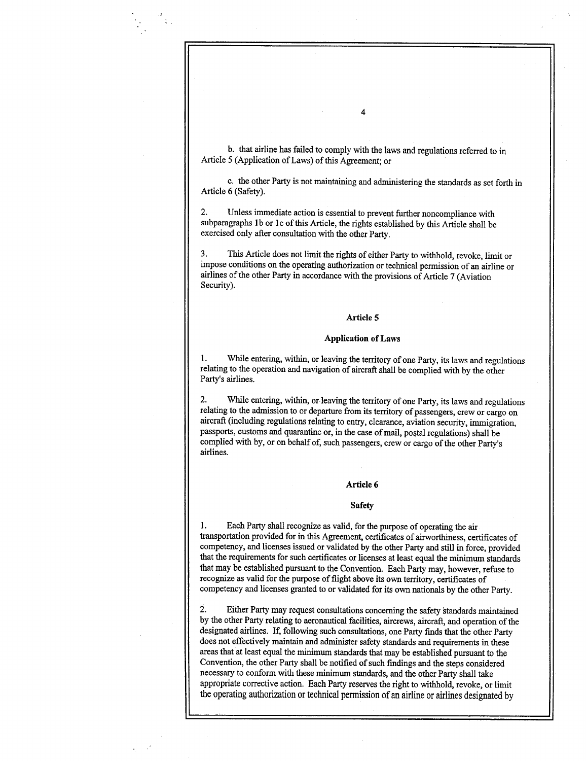<sup>b</sup> . that airline has failed to comply with the laws and regulations referred to in Article 5 (Application of Laws) of this Agreement; or

c. the other Party is not maintaining and administering the standards as set forth in Article 6 (Safety).

4

2. Unless immediate action is essential to prevent further noncompliance with subparagraphs lb or lc of this Article, the rights established by this Article shall be exercised only after consultation with the other Party .

3 . This Article does not limit the rights of either Party to withhold, revoke, limit or impose conditions on the operating authorization or technical permission of an airline or airlines of the other Party in accordance with the provisions of Article 7 (Aviation Security).

## Article 5

## Application of Laws

1. While entering, within, or leaving the territory of one Party, its laws and regulations relating to the operation and navigation of aircraft shall be complied with by the other Party's airlines.

2. While entering, within, or leaving the territory of one Party, its laws and regulations relating to the admission to or departure from its territory of passengers, crew or cargo on aircraft (including regulations relating to entry, clearance, aviation security, immigration, passports, customs and quarantine or, in the case of mail, postal regulations) shall be complied with by, or on behalf of, such passengers, crew or cargo of the other Party's airlines.

#### Article 6

#### Safety

1. Each Party shall recognize as valid, for the purpose of operating the air transportation provided for in this Agreement, certificates of airworthiness, certificates of competency, and licenses issued or validated by the other Party and still in force, provided that the requirements for such certificates or licenses at least equal the minimum standards that may be established pursuant to the Convention . Each Party may, however, refuse to recognize as valid for the purpose of flight above its own territory, certificates of competency and licenses granted to or validated for its own nationals by the other Party .

2. Either Party may request consultations concerning the safety standards maintained by the other Party relating to aeronautical facilities, aircrews, aircraft, and operation of the designated airlines. If, following such consultations, one Party finds that the other Party does not effectively maintain and administer safety standards and requirements in these areas that at least equal the minimum standards that may be established pursuant to the Convention, the other Party shall be notified of such findings and the steps considered necessary to conform with these minimum standards, and the other Party shall take appropriate corrective action. Each Party reserves the right to withhold, revoke, or limit the operating authorization or technical permission of an airline or airlines designated by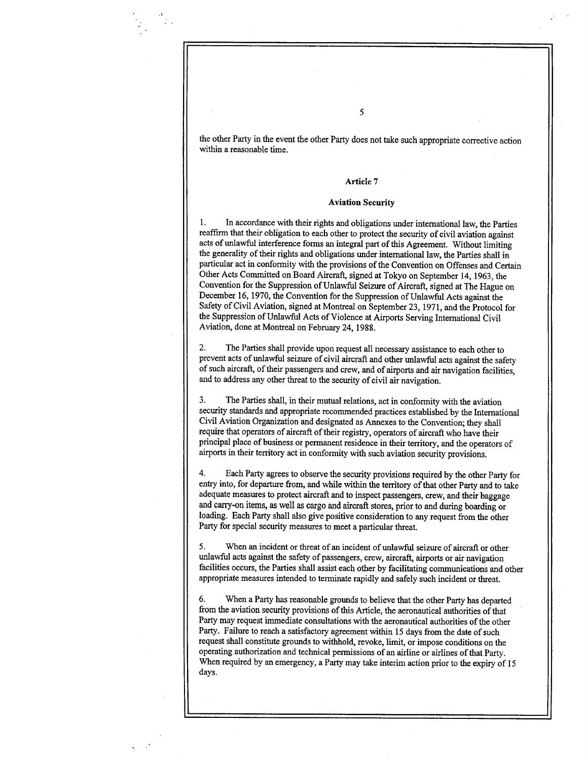the other Party in the event the other Party does not take such appropriate corrective action within a reasonable time.

## Article 7

### Aviation Security

1. In accordance with their rights and obligations under international law, the Parties reaffirm that their obligation to each other to protect the security of civil aviation against acts of unlawful interference forms an integral part of this Agreement. Without limiting the generality of their rights and obligations under international law, the Parties shall in particular act in conformity with the provisions of the Convention on Offenses and Certain Other Acts Committed on Board Aircraft, signed at Tokyo on September 14, 1963, the Convention for the Suppression of Unlawful Seizure of Aircraft, signed at The Hague on December 16, 1970, the Convention for the Suppression of Unlawful Acts against the Safety of Civil Aviation, signed at Montreal on September 23, 1971, and the Protocol for the Suppression of Unlawful Acts of Violence at Airports Serving International Civil Aviation, done at Montreal on February 24, 1988 .

2. The Parties shall provide upon request all necessary assistance to each other to prevent acts of unlawful seizure of civil aircraft and other unlawful acts against the safety of such aircraft, of their passengers and crew, and of airports and air navigation facilities, and to address any other threat to the security of civil air navigation.

3 . The Parties shall, in their mutual relations, act in conformity with the aviation security standards and appropriate recommended practices established by the International Civil Aviation Organization and designated as Annexes to the Convention; they shall require that operators of aircraft of their registry, operators of aircraft who have their principal place of business or permanent residence in their territory, and the operators of airports in their territory act in conformity with such aviation security provisions .

4 . Each Party agrees to observe the security provisions required by the other Party for entry into, for departure from, and while within the territory of that other Party and to take adequate measures to protect aircraft and to inspect passengers, crew, and their baggage and carry-on items, as well as cargo and aircraft stores, prior to and during boarding or loading. Each Party shall also give positive consideration to any request from the other Party for special security measures to meet a particular threat.

5 . When an incident or threat of an incident of unlawful seizure of aircraft or other unlawful acts against the safety of passengers, crew, aircraft, airports or air navigation facilities occurs, the Parties shall assist each other by facilitating communications and other appropriate measures intended to terminate rapidly and safely such incident or threat.

6 . When a Party has reasonable grounds to believe that the other Party has departed from the aviation security provisions of this Article, the aeronautical'authorities of that Party. Failure to reach a satisfactory agreement within 15 days from the date of such request shall constitute grounds to withhold, revoke, limit, or impose conditions on the operating authorization and technical permissions of an airline or airlines of that Party. When required by an emergency, a Party may take interim action prior to the expiry of 15 days.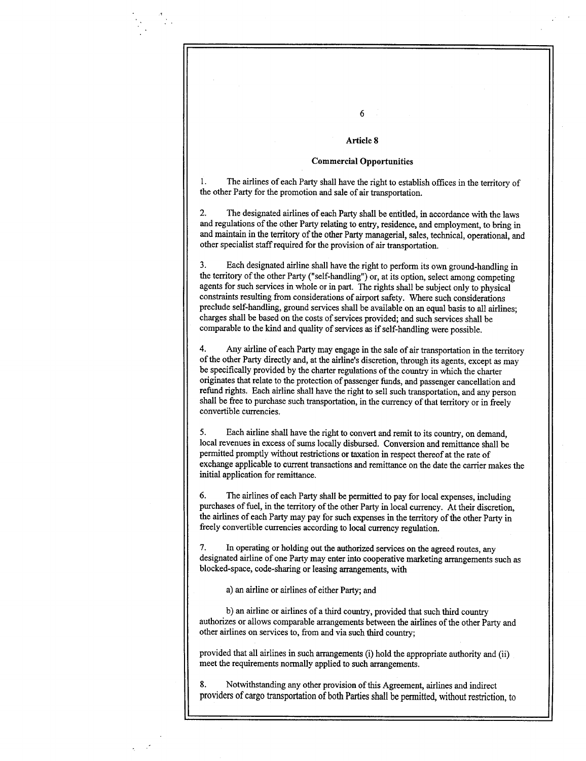### Article 8

## Commercial Opportunities

1 . The airlines of each Party shall have the right to establish offices in the territory of the other Party for the promotion and sale of air transportation .

2. The designated airlines of each Party shall be entitled, in accordance with the laws and regulations of the other Party relating to entry, residence, and employment, to bring in and maintain in the territory of the other Party managerial, sales, technical, operational, and other specialist staff required for the provision of air transportation .

<sup>3</sup> . Each designated airline shall have the right to perform its own ground-handling in the territory of the other Party ("self-handling") or, at its option, select among competing agents for such services in whole or in part. The rights shall be subject only to physical constraints resulting from considerations of airport safety. Where such considerations preclude self-handling, ground services shall be available on an equal basis to all airlines; charges shall be based on the costs of services provided; and such services shall be comparable to the kind and quality of services as if self-handling were possible .

4 . Any airline of each Party may engage in the sale of air transportation in the territory of the other Party directly and, at the airline's discretion, through its agents, except as may be specifically provided by the charter regulations of the country in which the charter originates that relate to the protection of passenger funds, and passenger cancellation and refund rights. Each airline shall have the right to sell such transportation, and any person shall be free to purchase such transportation, in the currency of that territory or in freely convertible currencies .

5 . Each airline shall have the right to convert and remit to its country, on demand, local revenues in excess of sums locally disbursed . Conversion and remittance shall be permitted promptly without restrictions or taxation in respect thereof at the rate of exchange applicable to current transactions and remittance on the date the carrier makes the initial application for remittance.

6 . The airlines of each Party shall be permitted to pay for local expenses, including purchases of fuel, in the territory of the other Party in local currency . At their discretion, the airlines of each Party may pay for such expenses in the territory of the other Party in freely convertible currencies according to local currency regulation .

In operating or holding out the authorized services on the agreed routes, any designated airline of one Party may enter into cooperative marketing arrangements such as blocked-space, code-sharing or leasing arrangements, with

a) an airline or airlines of either Party; and

b) an airline or airlines of a third country, provided that such third country authorizes or allows comparable arrangements between the airlines of the other Party and other airlines on services to, from and via such third country ;

provided that all airlines in such arrangements (i) hold the appropriate authority and (ii) meet the requirements normally applied to such arrangements .

Notwithstanding any other provision of this Agreement, airlines and indirect providers of cargo transportation of both Parties shall be permitted, without restriction, to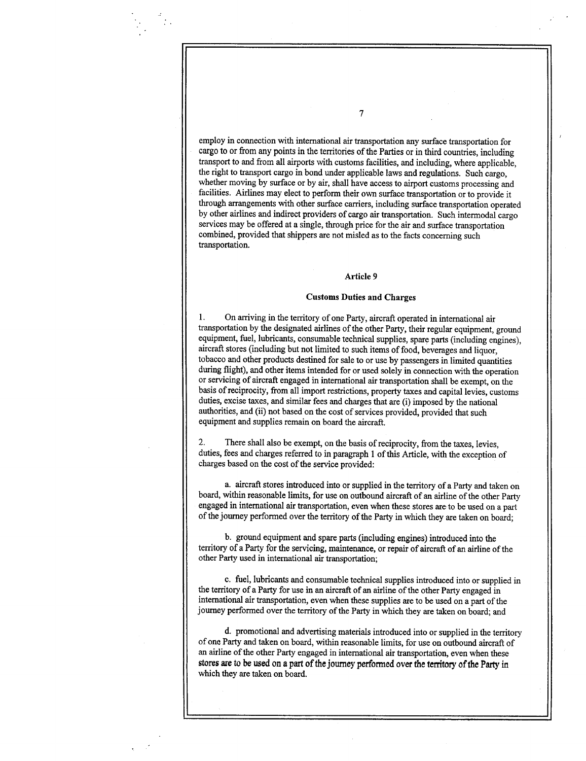employ in connection with international air transportation any surface transportation for cargo to or from any points in the territories of the Parties or in third countries, including transport to and from all airports with customs facilities, and including, where applicable, the right to transport cargo in bond under applicable laws and regulations. Such cargo, whether moving by surface or by air, shall have access to airport customs processing and facilities. Airlines may elect to perform their own surface transportation or to provide it through arrangements with other surface carriers, including surface transportation operated by other airlines and indirect providers of cargo air transportation. Such intermodal cargo services may be offered at a single, through price for the air and surface transportation combined, provided that shippers are not misled as to the facts concerning such transportation.

#### Article 9

## Customs Duties and Charges

1. On arriving in the territory of one Party, aircraft operated in international air transportation by the designated airlines of the other Party, their regular equipment, ground equipment, fuel, lubricants, consumable technical supplies, spare parts (including engines), aircraft stores (including but not limited to such items of food, beverages and liquor, tobacco and other products destined for sale to or use by passengers in limited quantities during flight), and other items intended for or used solely in connection with the operation or servicing of aircraft engaged in international air transportation shall be exempt, on the basis of reciprocity, from all import restrictions, property taxes and capital levies, customs duties, excise taxes, and similar fees and charges that are (i) imposed by the national authorities, and (ii) not based on the cost of services provided, provided that such equipment and supplies remain on board the aircraft.

2. There shall also be exempt, on the basis of reciprocity, from the taxes, levies, duties, fees and charges referred to in paragraph 1 of this Article, with the exception of charges based on the cost of the service provided :

a. aircraft stores introduced into or supplied in the territory of a Party and taken on board, within reasonable limits, for use on outbound aircraft of an airline of the other Party engaged in international air transportation, even when these stores are to be used on a part of the journey performed over the territory of the Party in which they are taken on board;

b . ground equipment and spare parts (including engines) introduced into the territory of a Party for the servicing, maintenance, or repair of aircraft of an airline of the other Party used in international air transportation ;

c. fuel, lubricants and consumable technical supplies introduced into or supplied in the territory of a Party for use in an aircraft of an airline of the other Party engaged in international air transportation, even when these supplies are to be used on a part of the journey performed over the territory of the Party in which they are taken on board; and

d. promotional and advertising materials introduced into or supplied in the territory of one Party and taken on board, within reasonable limits, for use on outbound aircraft of an airline of the other Party engaged in international air transportation, even when these stores are to be used on a part of the journey performed over the territory of the Party in which they are taken on board.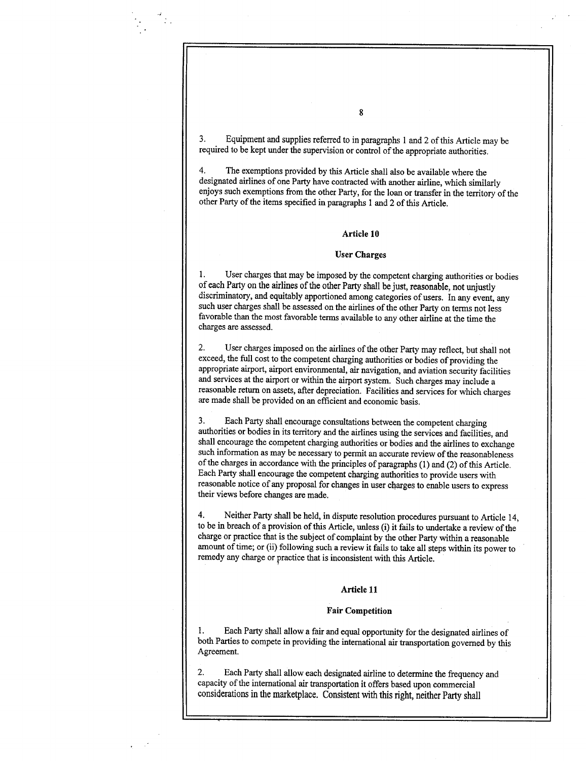3 . Equipment and supplies referred to in paragraphs 1 and 2 of this Article may be required to be kept under the supervision or control of the appropriate authorities .

4 . The exemptions provided by this Article shall also be available where the designated airlines of one Party have contracted with another airline, which similarly enjoys such exemptions from the other Party, for the loan or transfer in the territory of the other Party of the items specified in paragraphs 1 and 2 of this Article .

### Article 10

## User Charges

1. User charges that may be imposed by the competent charging authorities or bodies of each Party on the airlines of the other Party shall be just, reasonable, not unjustly discriminatory, and equitably apportioned among categories of users . In any event, any such user charges shall be assessed on the airlines of the other Party on terms not less favorable than the most favorable terms available to any other airline at the time the charges are assessed .

2. User charges imposed on the airlines of the other Party may reflect, but shall not exceed, the full cost to the competent charging authorities or bodies of providing the appropriate airport, airport environmental, air navigation, and aviation security facilities and services at the airport or within the airport system. Such charges may include a reasonable return on assets, after depreciation. Facilities and services for which charges are made shall be provided on an efficient and economic basis .

3 . Each Party shall encourage consultations between the competent charging authorities or bodies in its territory and the airlines using the services and facilities, and shall encourage the competent charging authorities or bodies and the airlines to exchange such information as may be necessary to permit an accurate review of the reasonableness of the charges in accordance with the principles of paragraphs (1) and (2) of this Article. reasonable notice of any proposal for changes in user charges to enable users to express their views before changes are made .

4 . Neither Party shall be held, in dispute resolution procedures pursuant to Article 14, to be in breach of a provision of this Article, unless (i) it fails to undertake a review of the charge or practice that is the subject of complaint by the other Party within a reasonable amount of time; or (ii) following such a review it fails to take all steps within its power to remedy any charge or practice that is inconsistent with this Article .

# Article 11

### Fair Competition

1 . Each Party shall allow a fair and equal opportunity for the designated airlines of both Parties to compete in providing the international air transportation governed by this Agreement.

2. Each Party shall allow each designated airline to determine the frequency and capacity of the international air transportation it offers based upon commercial considerations in the marketplace. Consistent with this right, neither Party shall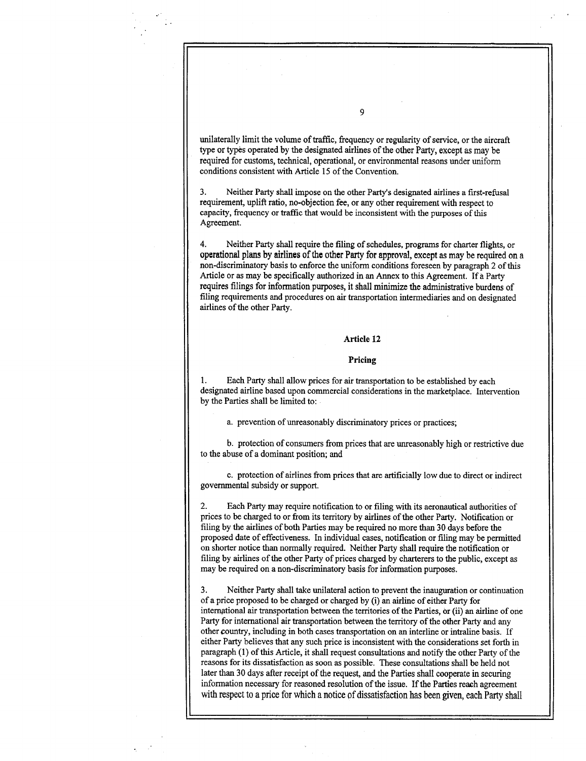unilaterally limit the volume of traffic, frequency or regularity of service, or the aircraft type or types operated by the designated airlines of the other Party, except as may be required for customs, technical, operational, or environmental reasons under uniform conditions consistent with Article 15 of the Convention.

3 . Neither Party shall impose on the other Party's designated airlines a first-refusal requirement, uplift ratio, no-objection fee, or any other requirement with respect to capacity, frequency or traffic that would be inconsistent with the purposes of this Agreement.

Neither Party shall require the filing of schedules, programs for charter flights, or operational plans by airlines of the other Party for approval, except as may be required on a non-discriminatory basis to enforce the uniform conditions foreseen by paragraph 2 of this Article or as may be specifically authorized in an Annex to this Agreement. If a Party requires filings for information purposes, it shall minimize the administrative burdens of filing requirements and procedures on air transportation intermediaries and on designated airlines of the other Party.

# Article 12

## Pricing

1. Each Party shall allow prices for air transportation to be established by each designated airline based upon commercial considerations in the marketplace. Intervention by the Parties shall be limited to :

a. prevention of unreasonably discriminatory prices or practices ;

b. protection of consumers from prices that are unreasonably high or restrictive due to the abuse of a dominant position; and

c. protection of airlines from prices that are artificially low due to direct or indirect governmental subsidy or support.

2. Each Party may require notification to or filing with its aeronautical authorities of prices to be charged to or from its territory by airlines of the other Party . Notification or filing by the airlines of both Parties may be required no more than 30 days before the proposed date of effectiveness . In individual cases, notification or filing may be permitted on shorter notice than normally required . Neither Party shall require the notification or filing by airlines of the other Party of prices charged by charterers to the public, except as may be required on a non-discriminatory basis for information purposes.

3 . Neither Party shall take unilateral action to prevent the inauguration or continuation of a price proposed to be charged or charged by (i) an airline of either Party for international air transportation between the territories of the Parties, or (ii) an airline of one Party for international air transportation between the territory of the other Party and any other country, including in both cases transportation on an interline or intraline basis. If either Party believes that any such price is inconsistent with the considerations set forth in paragraph (1) of this Article, it shall request consultations and notify the other Party of the reasons for its dissatisfaction as soon as possible . These consultations shall be held not later than 30 days after receipt of the request, and the Parties shall cooperate in securing information necessary for reasoned resolution of the issue. If the Parties reach agreement with respect to a price for which a notice of dissatisfaction has been given, each Party shall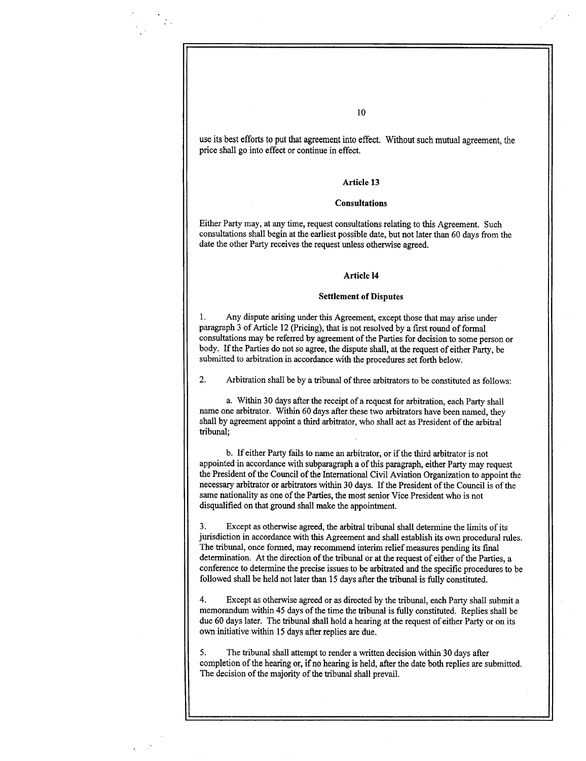use its best efforts to put that agreement into effect. Without such mutual agreement, the price shall go into effect or continue in effect.

#### Article 13

#### Consultations

Either Party may, at any time, request consultations relating to this Agreement . Such consultations shall begin at the earliest possible date, but not later than 60 days from the date the other Party receives the request unless otherwise agreed .

### Article 14

### Settlement of Disputes

1 . Any dispute arising under this Agreement, except those that may arise under paragraph 3 of Article 12 (Pricing), that is not resolved by a first round of formal consultations may be referred by agreement of the Parties for decision to some person or body. If the Parties do not so agree, the dispute shall, at the request of either Party, be submitted to arbitration in accordance with the procedures set forth below.

2. Arbitration shall be by a tribunal of three arbitrators to be constituted as follows:

a. Within 30 days after the receipt of a request for arbitration, each Party shall name one arbitrator. Within 60 days after these two arbitrators have been named, they shall by agreement appoint a third arbitrator, who shall act as President of the arbitral tribunal;

b. If either Party fails to name an arbitrator, or if the third arbitrator is not appointed in accordance with subparagraph a of this paragraph, either Party may request the President of the Council of the International Civil Aviation Organization to appoint the necessary arbitrator or arbitrators within 30 days. If the President of the Council is of the same nationality as one of the Parties, the most senior Vice President who is not disqualified on that ground shall make the appointment.

3 . Except as otherwise agreed, the arbitral tribunal shall determine the limits of its jurisdiction in accordance with this Agreement and shall establish its own procedural rules. The tribunal, once formed, may recommend interim relief measures pending its final determination. At the direction of the tribunal or at the request of either of the Parties, a conference to determine the precise issues to be arbitrated and the specific procedures to be followed shall be held not later than 15 days after the tribunal is fully constituted .

4 . Except as otherwise agreed or as directed by the tribunal, each Party shall submit a memorandum within 45 days of the time the tribunal is fully constituted . Replies shall be due 60 days later. The tribunal shall hold a hearing at the request of either Party or on its own initiative within 15 days after replies are due.

5 . The tribunal shall attempt to render a written decision within 30 days after completion of the hearing or, if no hearing is held, after the date both replies are submitted . The decision of the majority of the tribunal shall prevail.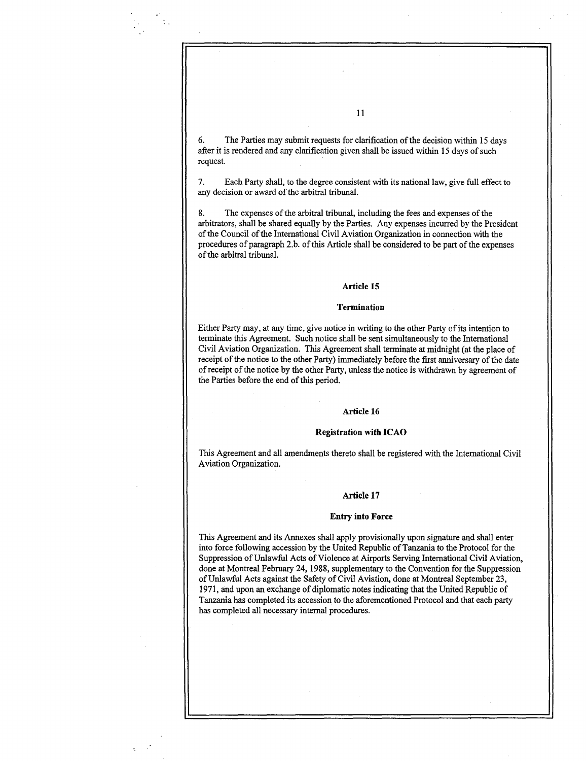6 . The Parties may submit requests for clarification of the decision within 15 days after it is rendered and any clarification given shall be issued within 15 days of such request.

7 . Each Party shall, to the degree consistent with its national law, give full effect to any decision or award of the arbitral tribunal.

8 . The expenses of the arbitral tribunal, including the fees and expenses of the arbitrators, shall be shared equally by the Parties . Any expenses incurred by the President of the Council of the International Civil Aviation Organization in connection with the procedures of paragraph 2 .b . of this Article shall be considered to be part of the expenses of the arbitral tribunal.

### Article 15

## **Termination**

Either Party may, at any time, give notice in writing to the other Party of its intention to terminate this Agreement. Such notice shall be sent simultaneously to the International Civil Aviation Organization. This Agreement shall terminate at midnight (at the place of receipt of the notice to the other Party) immediately before the first anniversary of the date of receipt of the notice by the other Party, unless the notice is withdrawn by agreement of the Parties before the end of this period.

### Article 16

# Registration with ICAO

This Agreement and all amendments thereto shall be registered with the International Civil Aviation Organization .

### Article 17

### Entry into Force

This Agreement and its Annexes shall apply provisionally upon signature and shall enter into force following accession by the United Republic of Tanzania to the Protocol for the Suppression of Unlawful Acts of Violence at Airports Serving International Civil Aviation, done at Montreal February 24, 1988, supplementary to the Convention for the Suppression of Unlawful Acts against the Safety of Civil Aviation, done at Montreal September 23, 1971, and upon an exchange of diplomatic notes indicating that the United Republic of Tanzania has completed its accession to the aforementioned Protocol and that each party has completed all necessary internal procedures.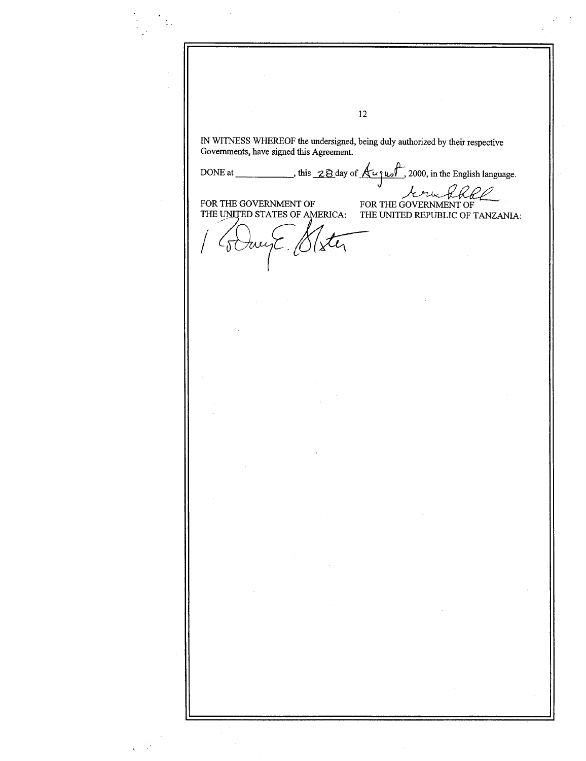IN WITNESS WHEREOF the undersigned, being duly authorized by their respective Governments, have signed this Agreement.

DONE at  $\frac{28 \text{ day of } A \cup \text{107}}{2000}$ , in the English language.

THE UNITED STATES OF AMERICA: THE UNITED REPUBLIC OF TANZANIA:

 $\Delta$  .

FOR THE GOVERNMENT OF FOR THE GOVERNMENT OF

Ster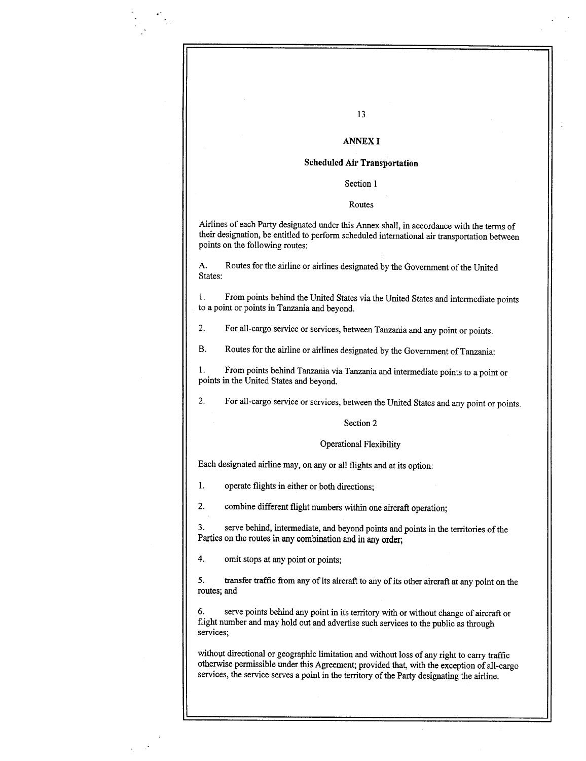## ANNEX I

# Scheduled Air Transportation

## Section 1

Routes

Airlines of each Party designated under this Annex shall, in accordance with the terms of their designation, be entitled to perform scheduled international air transportation between points on the following routes:

A. Routes for the airline or airlines designated by the Government of the United States:

1. From points behind the United States via the United States and intermediate points to a point or points in Tanzania and beyond.

2 . For all-cargo service or services, between Tanzania and any point or points .

B. Routes for the airline or airlines designated by the Government of Tanzania:

<sup>1</sup> . From points behind Tanzania via Tanzania and intermediate points to a point or points in the United States and beyond.

2 . For all-cargo service or services, between the United States and any point or points .

### Section 2

### Operational Flexibility

Each designated airline may, on any or all flights and at its option :

1. operate flights in either or both directions;

2. combine different flight numbers within one aircraft operation;

3 . serve behind, intermediate, and beyond points and points in the territories of the Parties on the routes in any combination and in any order;

4. omit stops at any point or points;

<sup>5</sup> . transfer traffic from any of its aircraft to any of its other aircraft at any point on the routes; and

6 . serve points behind any point in its territory with or without change of aircraft or flight number and may hold out and advertise such services to the public as through services:

without directional or geographic limitation and without loss of any right to carry traffic otherwise permissible under this Agreement; provided that, with the exception of all-cargo services, the service serves a point in the territory of the Party designating the airline .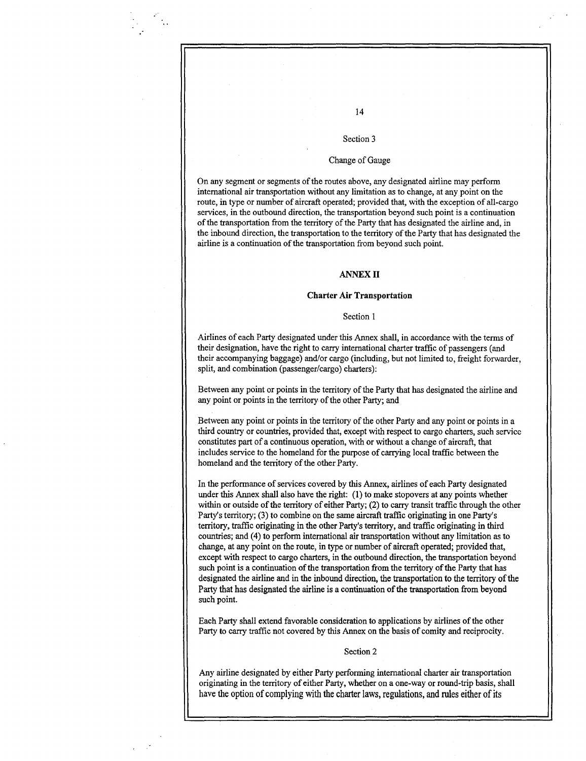### Section 3

# Change of Gauge

On any segment or segments of the routes above, any designated airline may perform international air transportation without any limitation as to change, at any point on the route, in type or number of aircraft operated; provided that, with the exception of all-cargo services, in the outbound direction, the transportation beyond such point is a continuation of the transportation from the territory of the Party that has designated the airline and, in the inbound direction, the transportation to the territory of the Party that has designated the airline is a continuation of the transportation from beyond such point.

### ANNEX II

## Charter Air Transportation

### Section 1

Airlines of each Party designated under this Annex shall, in accordance with the terms of their designation, have the right to carry international charter traffic of passengers (and their accompanying baggage) and/or cargo (including, but not limited to, freight forwarder, split, and combination (passenger/cargo) charters):

Between any point or points in the territory of the Party that has designated the airline and any point or points in the territory of the other Party; and

Between any point or points in the territory of the other Party and any point or points in a third country or countries, provided that, except with respect to cargo charters, such service constitutes part of a continuous operation, with or without a change of aircraft, that includes service to the homeland for the purpose of carrying local traffic between the homeland and the territory of the other Party.

In the performance of services covered by this Annex, airlines of each Party designated under this Annex shall also have the right: (1) to make stopovers at any points whether within or outside of the territory of either Party; (2) to carry transit traffic through the other Party's territory; (3) to combine on the same aircraft traffic originating in one Party's territory, traffic originating in the other Party's territory, and traffic originating in third countries; and (4) to perform international air transportation without any limitation as to change, at any point on the route, in type or number of aircraft operated; provided that, except with respect to cargo charters, in the outbound direction, the transportation beyond such point is a continuation of the transportation from the territory of the Party that has designated the airline and in the inbound direction, the transportation to the territory of the Party that has designated the airline is a continuation of the transportation from beyond such point.

Each Party shall extend favorable consideration to applications by airlines of the other Party to carry traffic not covered by this Annex on the basis of comity and reciprocity .

Section 2

Any airline designated by either Party performing international charter air transportation originating in the territory of either Party, whether on a one-way or round-trip basis, shall have the option of complying with the charter laws, regulations, and rules either of its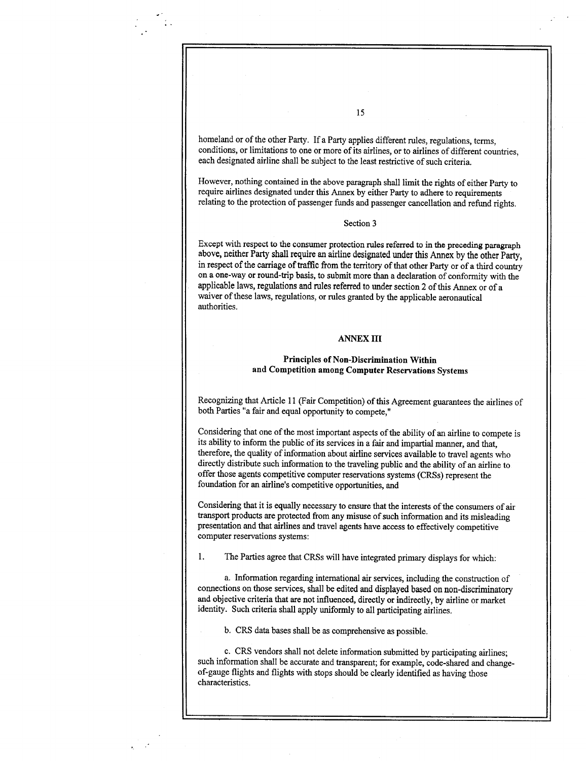homeland or of the other Party . If a Party applies different rules, regulations, terms, conditions, or limitations to one or more of its airlines, or to airlines of different countries, each designated airline shall be subject to the least restrictive of such criteria .

However, nothing contained in the above paragraph shall limit the rights of either Party to require airlines designated under this Annex by either Party to adhere to requirements relating to the protection of passenger funds and passenger cancellation and refund rights.

### Section 3

Except with respect to the consumer protection rules referred to in the preceding paragraph above, neither Party shall require an airline designated under this Annex by the other Party, in respect of the carriage of traffic from the territory of that other Party or of a third country on a one-way or round-trip basis, to submit more than a declaration of conformity with the applicable laws, regulations and rules referred to under section 2 of this Annex or of a waiver of these laws, regulations, or rules granted by the applicable aeronautical authorities.

# ANNEX III

# Principles of Non-Discrimination Within and Competition among Computer Reservations Systems

Recognizing that Article 11 (Fair Competition) of this Agreement guarantees the airlines of both Parties "a fair and equal opportunity to compete,"

Considering that one of the most important aspects of the ability of an airline to compete is its ability to inform the public of its services in a fair and impartial manner, and that, therefore, the quality of information about airline services available to travel agents who directly distribute such information to the traveling public and the ability of an airline to offer those agents competitive computer reservations systems (CRSs) represent the foundation for an airline's competitive opportunities, and

Considering that it is equally necessary to ensure that the interests of the consumers of air transport products are protected from any misuse of such information and its misleading presentation and that airlines and travel agents have access to effectively competitive computer reservations systems :

1. The Parties agree that CRSs will have integrated primary displays for which:

a. Information regarding international air services, including the construction of connections on those services, shall be edited and displayed based on non-discriminatory and objective criteria that are not influenced, directly or indirectly, by airline or market identity. Such criteria shall apply uniformly to all participating airlines,

b. CRS data bases shall be as comprehensive as possible .

c. CRS vendors shall not delete information submitted by participating airlines; such information shall be accurate and transparent; for example, code-shared and changeof-gauge flights and flights with stops should be clearly identified as having those characteristics .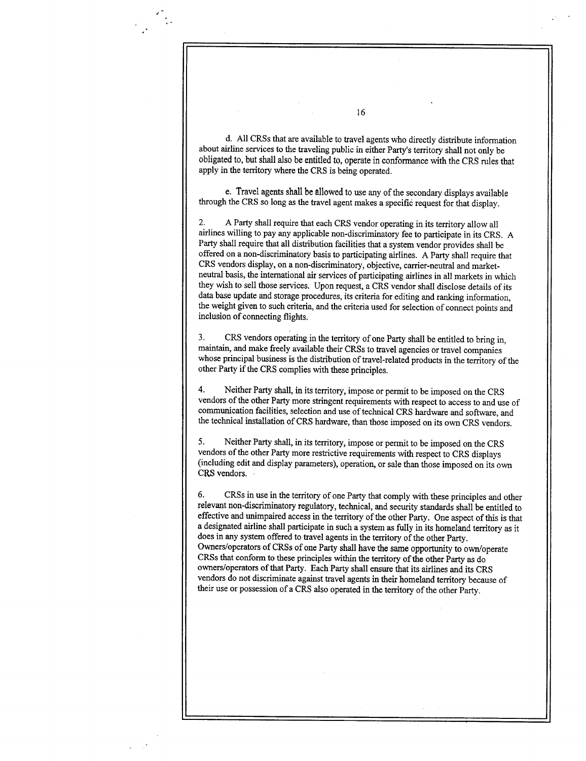d. All CRSs that are available to travel agents who directly distribute information about airline services to the traveling public in either Party's territory shall not only be obligated to, but shall also be entitled to, operate in conformance with the CRS rules that apply in the territory where the CRS is being operated.

e. Travel agents shall be allowed to use any of the secondary displays available through the CRS so long as the travel agent makes a specific request for that display .

A Party shall require that each CRS vendor operating in its territory allow all airlines willing to pay any applicable non-discriminatory fee to participate in its CRS . A Party shall require that all distribution facilities that a system vendor provides shall be offered on a non-discriminatory basis to participating airlines . A Party shall require that CRS vendors display, on a non-discriminatory, objective, carrier-neutral and marketneutral basis, the international air services of participating airlines in all markets in which data base update and storage procedures, its criteria for editing and ranking information, the weight given to such criteria, and the criteria used for selection of connect points and inclusion of connecting flights.

3 . CRS vendors operating in the territory of one Party shall be entitled to bring in, maintain, and make freely available their CRSs to travel agencies or travel companies whose principal business is the distribution of travel-related products in the territory of the other Party if the CRS complies with these principles .

<sup>4</sup> . Neither Party shall, in its territory, impose or permit to be imposed on the CRS vendors of the other Party more stringent requirements with respect to access to and use of communication facilities, selection and use of technical CRS hardware and software, and the technical installation of CRS hardware, than those imposed on its own CRS vendors .

<sup>5</sup> . Neither Party shall, in its territory, impose or permit to be imposed on the CRS vendors of the other Party more restrictive requirements with respect to CRS displays (including edit and display parameters), operation, or sale than those imposed on its own CRS vendors.

<sup>6</sup> . CRSs in use in the territory of one Party that comply with these principles and other relevant non-discriminatory regulatory, technical, and security standards shall be entitled to effective and unimpaired access in the territory of the other Party. One aspect of this is that a designated airline shall participate in such a system as fully in its homeland territory as it does in any system offered to travel agents in the territory of the other Party. Owners/operators of CRSs of one Party shall have the same opportunity to own/operate CRSs that conform to these principles within the territory of the other Party as do owners/operators of that Party . Each Party shall ensure that its airlines and its CRS vendors do not discriminate against travel agents in their homeland territory because of their use or possession of a CRS also operated in the territory of the other Party.